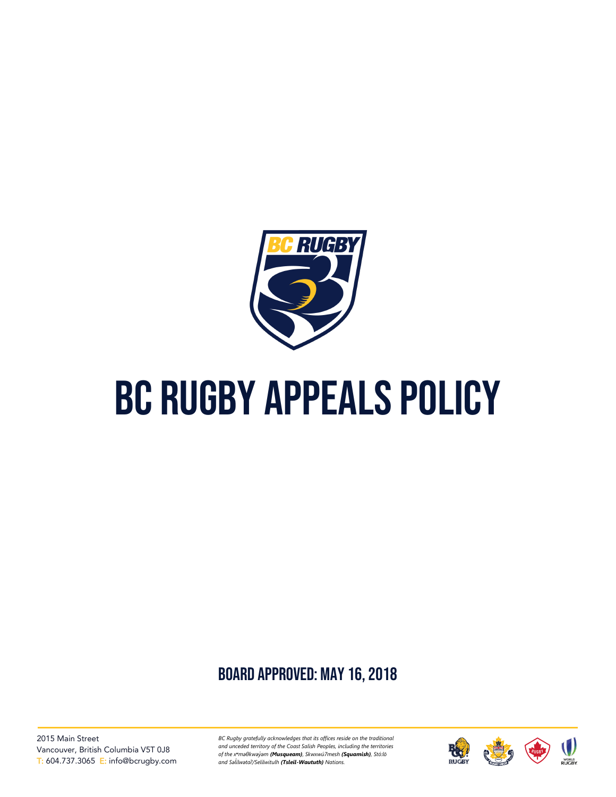

# BC Rugby appeals policy

# board approved: May 16, 2018

2015 Main Street Vancouver, British Columbia V5T 0J8 T: 604.737.3065 E: info@bcrugby.com *BC Rugby gratefully acknowledges that its offices reside on the traditional and unceded territory of the Coast Salish Peoples, including the territories of the xʷməθkwəy̓əm (Musqueam), Skwxwú7mesh (Squamish), Stó:lō and Səl̓ ílwətaʔ/Selilwitulh (Tsleil-Waututh) Nations.*

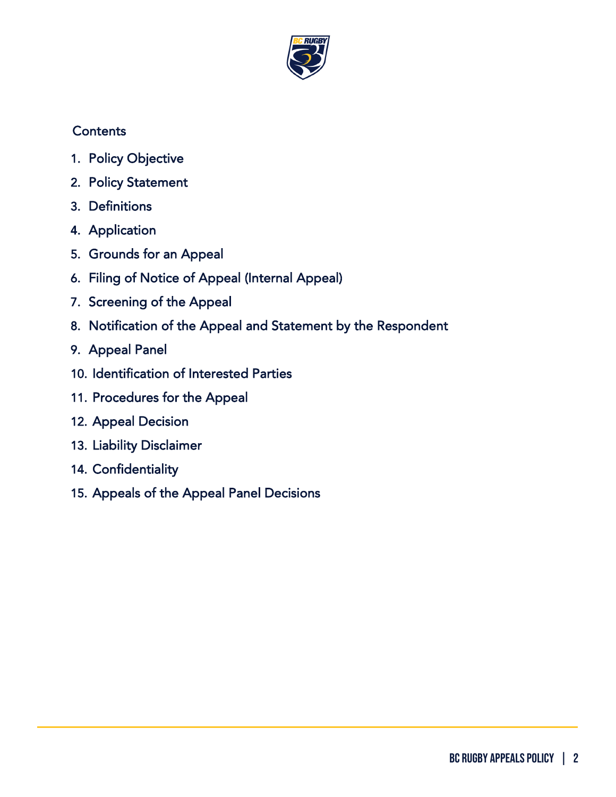

# **Contents**

- 1. [Policy Objective](#page-2-0)
- 2. [Policy Statement](#page-2-1)
- 3. [Definitions](#page-2-2)
- 4. [Application](#page-3-0)
- 5. [Grounds for an Appeal](#page-4-0)
- 6. [Filing of Notice of Appeal \(Internal Appeal\)](#page-5-0)
- 7. [Screening of the Appeal](#page-5-1)
- 8. [Notification of the Appeal and Statement by the Respondent](#page-5-2)
- 9. [Appeal Panel](#page-6-0)
- 10[. Identification of Interested Parties](#page-7-0)
- 11[. Procedures for the Appeal](#page-7-1)
- 12. [Appeal Decision](#page-8-0)
- 13. [Liability Disclaimer](#page-8-1)
- 14. [Confidentiality](#page-8-2)
- 15[. Appeals of the Appeal Panel Decisions](#page-9-0)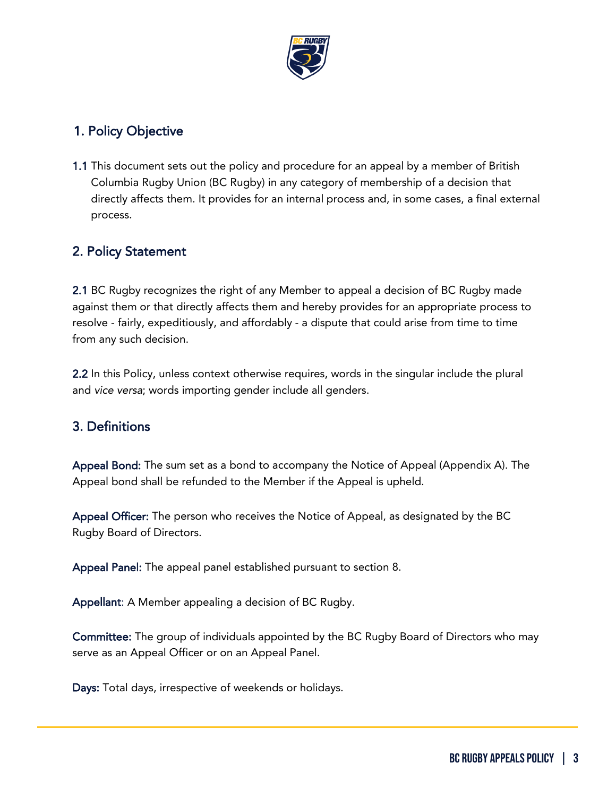

#### <span id="page-2-0"></span>1. Policy Objective

1.1 This document sets out the policy and procedure for an appeal by a member of British Columbia Rugby Union (BC Rugby) in any category of membership of a decision that directly affects them. It provides for an internal process and, in some cases, a final external process.

## <span id="page-2-1"></span>2. Policy Statement

2.1 BC Rugby recognizes the right of any Member to appeal a decision of BC Rugby made against them or that directly affects them and hereby provides for an appropriate process to resolve - fairly, expeditiously, and affordably - a dispute that could arise from time to time from any such decision.

2.2 In this Policy, unless context otherwise requires, words in the singular include the plural and *vice versa*; words importing gender include all genders.

#### <span id="page-2-2"></span>3. Definitions

Appeal Bond: The sum set as a bond to accompany the Notice of Appeal (Appendix A). The Appeal bond shall be refunded to the Member if the Appeal is upheld.

Appeal Officer: The person who receives the Notice of Appeal, as designated by the BC Rugby Board of Directors.

Appeal Panel: The appeal panel established pursuant to section 8.

Appellant: A Member appealing a decision of BC Rugby.

Committee: The group of individuals appointed by the BC Rugby Board of Directors who may serve as an Appeal Officer or on an Appeal Panel.

Days: Total days, irrespective of weekends or holidays.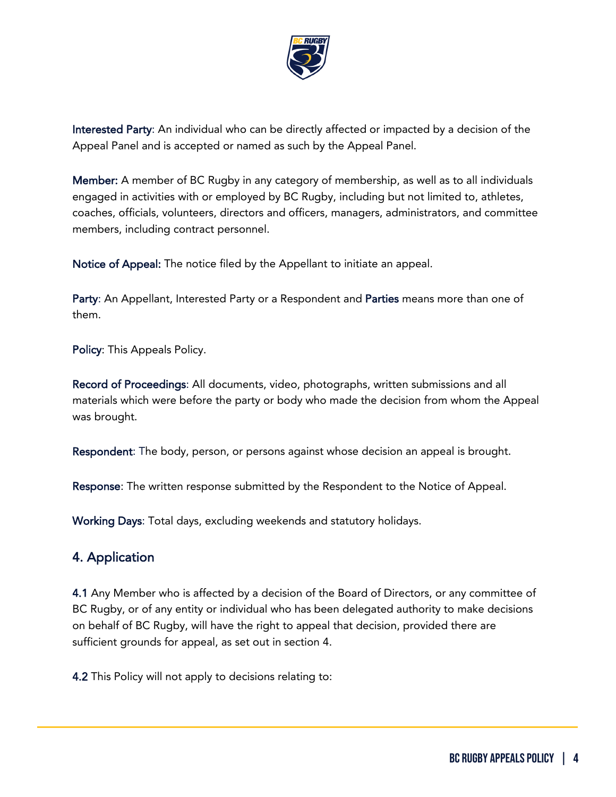

Interested Party: An individual who can be directly affected or impacted by a decision of the Appeal Panel and is accepted or named as such by the Appeal Panel.

Member: A member of BC Rugby in any category of membership, as well as to all individuals engaged in activities with or employed by BC Rugby, including but not limited to, athletes, coaches, officials, volunteers, directors and officers, managers, administrators, and committee members, including contract personnel.

Notice of Appeal: The notice filed by the Appellant to initiate an appeal.

Party: An Appellant, Interested Party or a Respondent and Parties means more than one of them.

Policy: This Appeals Policy.

Record of Proceedings: All documents, video, photographs, written submissions and all materials which were before the party or body who made the decision from whom the Appeal was brought.

Respondent: The body, person, or persons against whose decision an appeal is brought.

Response: The written response submitted by the Respondent to the Notice of Appeal.

Working Days: Total days, excluding weekends and statutory holidays.

#### <span id="page-3-0"></span>4. Application

4.1 Any Member who is affected by a decision of the Board of Directors, or any committee of BC Rugby, or of any entity or individual who has been delegated authority to make decisions on behalf of BC Rugby, will have the right to appeal that decision, provided there are sufficient grounds for appeal, as set out in section 4.

4.2 This Policy will not apply to decisions relating to: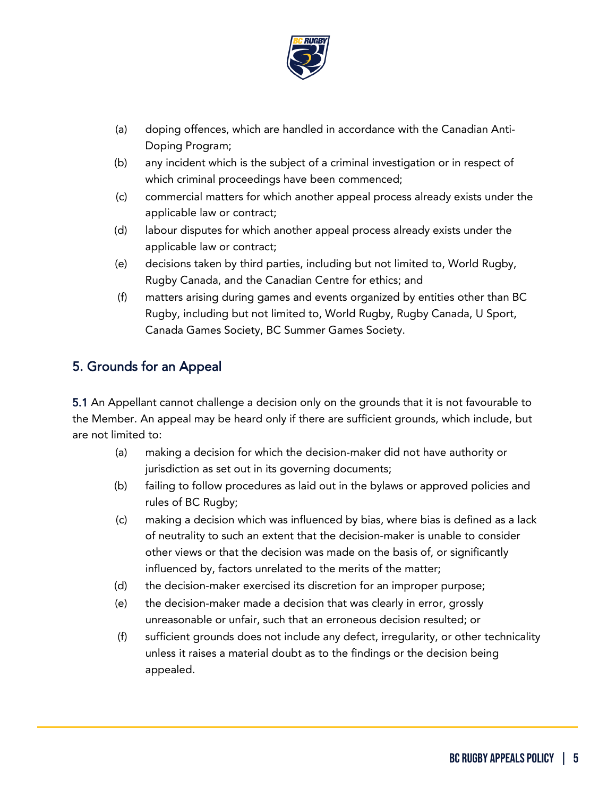

- (a) doping offences, which are handled in accordance with the Canadian Anti-Doping Program;
- (b) any incident which is the subject of a criminal investigation or in respect of which criminal proceedings have been commenced;
- (c) commercial matters for which another appeal process already exists under the applicable law or contract;
- (d) labour disputes for which another appeal process already exists under the applicable law or contract;
- (e) decisions taken by third parties, including but not limited to, World Rugby, Rugby Canada, and the Canadian Centre for ethics; and
- (f) matters arising during games and events organized by entities other than BC Rugby, including but not limited to, World Rugby, Rugby Canada, U Sport, Canada Games Society, BC Summer Games Society.

# <span id="page-4-0"></span>5. Grounds for an Appeal

5.1 An Appellant cannot challenge a decision only on the grounds that it is not favourable to the Member. An appeal may be heard only if there are sufficient grounds, which include, but are not limited to:

- (a) making a decision for which the decision-maker did not have authority or jurisdiction as set out in its governing documents;
- (b) failing to follow procedures as laid out in the bylaws or approved policies and rules of BC Rugby;
- (c) making a decision which was influenced by bias, where bias is defined as a lack of neutrality to such an extent that the decision-maker is unable to consider other views or that the decision was made on the basis of, or significantly influenced by, factors unrelated to the merits of the matter;
- (d) the decision-maker exercised its discretion for an improper purpose;
- (e) the decision-maker made a decision that was clearly in error, grossly unreasonable or unfair, such that an erroneous decision resulted; or
- (f) sufficient grounds does not include any defect, irregularity, or other technicality unless it raises a material doubt as to the findings or the decision being appealed.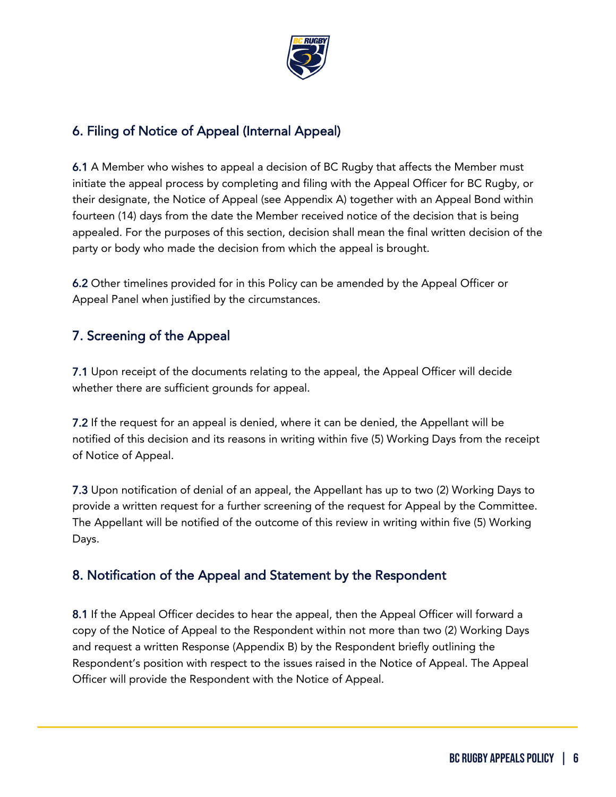

# <span id="page-5-0"></span>6. Filing of Notice of Appeal (Internal Appeal)

6.1 A Member who wishes to appeal a decision of BC Rugby that affects the Member must initiate the appeal process by completing and filing with the Appeal Officer for BC Rugby, or their designate, the Notice of Appeal (see Appendix A) together with an Appeal Bond within fourteen (14) days from the date the Member received notice of the decision that is being appealed. For the purposes of this section, decision shall mean the final written decision of the party or body who made the decision from which the appeal is brought.

6.2 Other timelines provided for in this Policy can be amended by the Appeal Officer or Appeal Panel when justified by the circumstances.

# <span id="page-5-1"></span>7. Screening of the Appeal

7.1 Upon receipt of the documents relating to the appeal, the Appeal Officer will decide whether there are sufficient grounds for appeal.

7.2 If the request for an appeal is denied, where it can be denied, the Appellant will be notified of this decision and its reasons in writing within five (5) Working Days from the receipt of Notice of Appeal.

7.3 Upon notification of denial of an appeal, the Appellant has up to two (2) Working Days to provide a written request for a further screening of the request for Appeal by the Committee. The Appellant will be notified of the outcome of this review in writing within five (5) Working Days.

## <span id="page-5-2"></span>8. Notification of the Appeal and Statement by the Respondent

8.1 If the Appeal Officer decides to hear the appeal, then the Appeal Officer will forward a copy of the Notice of Appeal to the Respondent within not more than two (2) Working Days and request a written Response (Appendix B) by the Respondent briefly outlining the Respondent's position with respect to the issues raised in the Notice of Appeal. The Appeal Officer will provide the Respondent with the Notice of Appeal.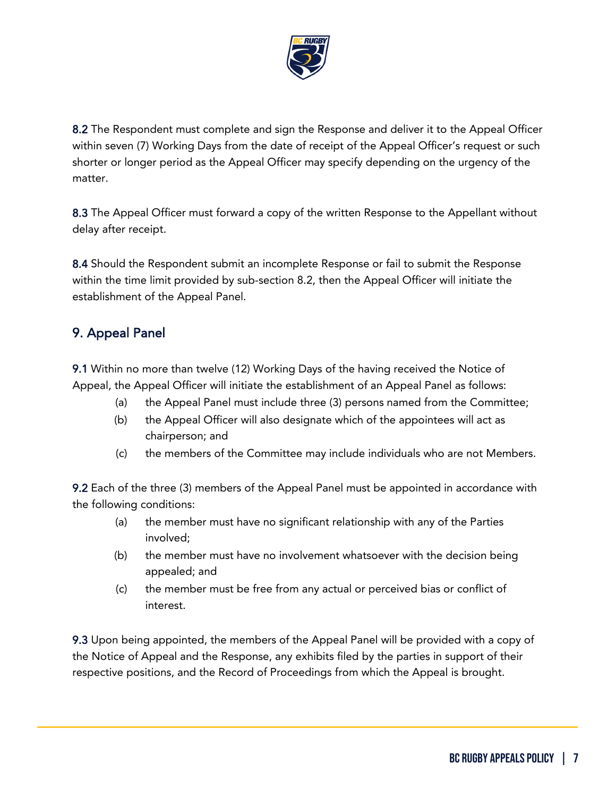

8.2 The Respondent must complete and sign the Response and deliver it to the Appeal Officer within seven (7) Working Days from the date of receipt of the Appeal Officer's request or such shorter or longer period as the Appeal Officer may specify depending on the urgency of the matter.

8.3 The Appeal Officer must forward a copy of the written Response to the Appellant without delay after receipt.

8.4 Should the Respondent submit an incomplete Response or fail to submit the Response within the time limit provided by sub-section 8.2, then the Appeal Officer will initiate the establishment of the Appeal Panel.

# <span id="page-6-0"></span>9. Appeal Panel

9.1 Within no more than twelve (12) Working Days of the having received the Notice of Appeal, the Appeal Officer will initiate the establishment of an Appeal Panel as follows:

- (a) the Appeal Panel must include three (3) persons named from the Committee;
- (b) the Appeal Officer will also designate which of the appointees will act as chairperson; and
- (c) the members of the Committee may include individuals who are not Members.

9.2 Each of the three (3) members of the Appeal Panel must be appointed in accordance with the following conditions:

- (a) the member must have no significant relationship with any of the Parties involved;
- (b) the member must have no involvement whatsoever with the decision being appealed; and
- (c) the member must be free from any actual or perceived bias or conflict of interest.

9.3 Upon being appointed, the members of the Appeal Panel will be provided with a copy of the Notice of Appeal and the Response, any exhibits filed by the parties in support of their respective positions, and the Record of Proceedings from which the Appeal is brought.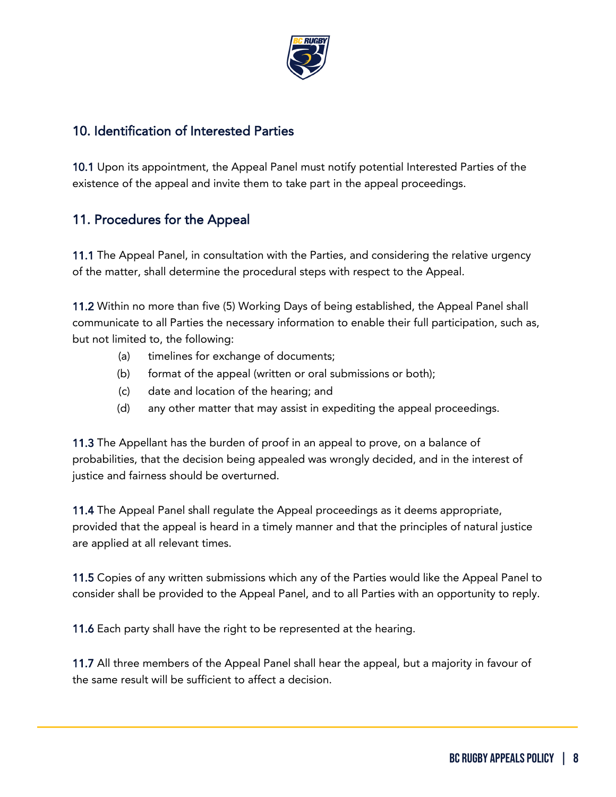

#### <span id="page-7-0"></span>10. Identification of Interested Parties

10.1 Upon its appointment, the Appeal Panel must notify potential Interested Parties of the existence of the appeal and invite them to take part in the appeal proceedings.

## <span id="page-7-1"></span>11. Procedures for the Appeal

11.1 The Appeal Panel, in consultation with the Parties, and considering the relative urgency of the matter, shall determine the procedural steps with respect to the Appeal.

11.2 Within no more than five (5) Working Days of being established, the Appeal Panel shall communicate to all Parties the necessary information to enable their full participation, such as, but not limited to, the following:

- (a) timelines for exchange of documents;
- (b) format of the appeal (written or oral submissions or both);
- (c) date and location of the hearing; and
- (d) any other matter that may assist in expediting the appeal proceedings.

11.3 The Appellant has the burden of proof in an appeal to prove, on a balance of probabilities, that the decision being appealed was wrongly decided, and in the interest of justice and fairness should be overturned.

11.4 The Appeal Panel shall regulate the Appeal proceedings as it deems appropriate, provided that the appeal is heard in a timely manner and that the principles of natural justice are applied at all relevant times.

11.5 Copies of any written submissions which any of the Parties would like the Appeal Panel to consider shall be provided to the Appeal Panel, and to all Parties with an opportunity to reply.

11.6 Each party shall have the right to be represented at the hearing.

11.7 All three members of the Appeal Panel shall hear the appeal, but a majority in favour of the same result will be sufficient to affect a decision.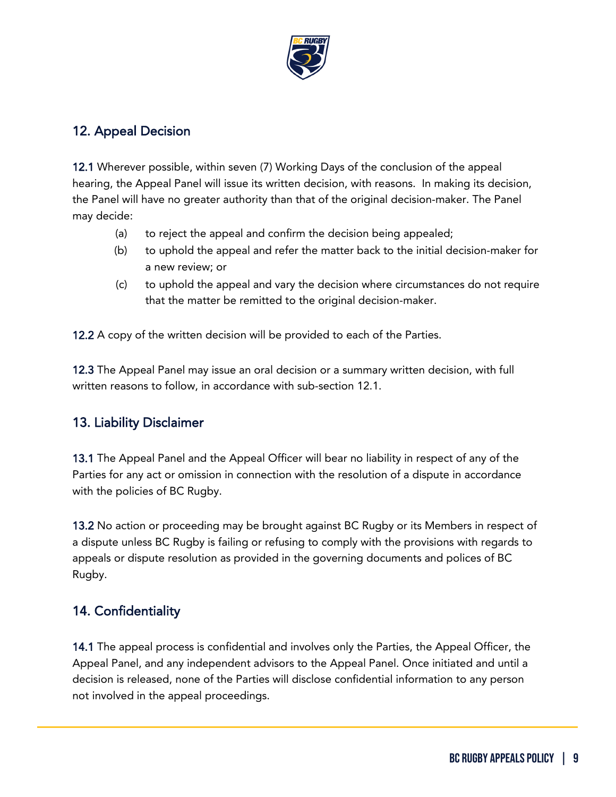

# <span id="page-8-0"></span>12. Appeal Decision

12.1 Wherever possible, within seven (7) Working Days of the conclusion of the appeal hearing, the Appeal Panel will issue its written decision, with reasons. In making its decision, the Panel will have no greater authority than that of the original decision-maker. The Panel may decide:

- (a) to reject the appeal and confirm the decision being appealed;
- (b) to uphold the appeal and refer the matter back to the initial decision-maker for a new review; or
- (c) to uphold the appeal and vary the decision where circumstances do not require that the matter be remitted to the original decision-maker.

12.2 A copy of the written decision will be provided to each of the Parties.

12.3 The Appeal Panel may issue an oral decision or a summary written decision, with full written reasons to follow, in accordance with sub-section 12.1.

## <span id="page-8-1"></span>13. Liability Disclaimer

13.1 The Appeal Panel and the Appeal Officer will bear no liability in respect of any of the Parties for any act or omission in connection with the resolution of a dispute in accordance with the policies of BC Rugby.

13.2 No action or proceeding may be brought against BC Rugby or its Members in respect of a dispute unless BC Rugby is failing or refusing to comply with the provisions with regards to appeals or dispute resolution as provided in the governing documents and polices of BC Rugby.

# <span id="page-8-2"></span>14. Confidentiality

14.1 The appeal process is confidential and involves only the Parties, the Appeal Officer, the Appeal Panel, and any independent advisors to the Appeal Panel. Once initiated and until a decision is released, none of the Parties will disclose confidential information to any person not involved in the appeal proceedings.